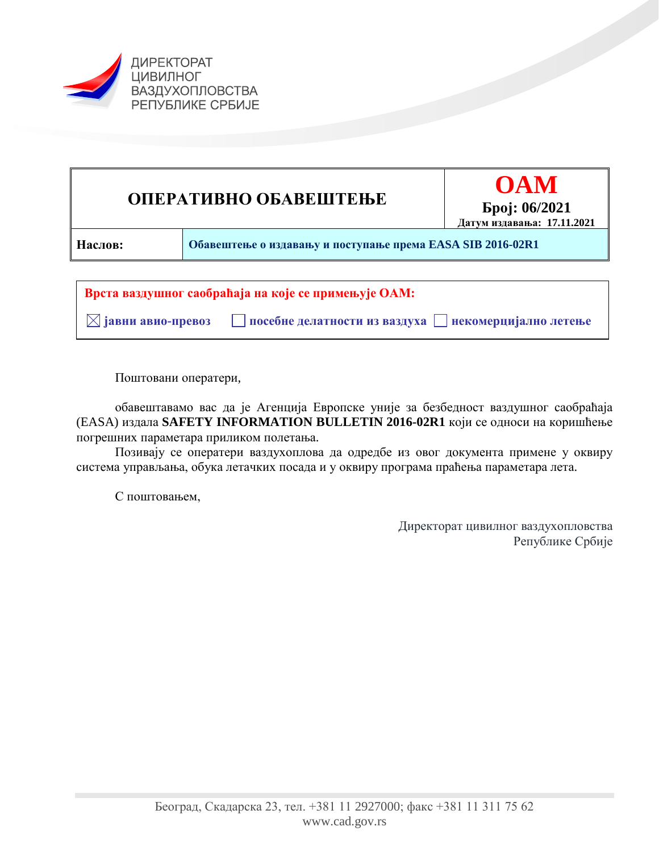



Поштовани оператери,

обавештавамо вас да је Агенција Европске уније за безбедност ваздушног саобраћаја (EASA) издала **SAFETY INFORMATION BULLETIN 2016-02R1** који се односи на коришћење погрешних параметара приликом полетања.

Позивају се оператери ваздухоплова да одредбе из овог документа примене у оквиру система управљања, обука летачких посада и у оквиру програма праћења параметара лета.

С поштовањем,

Директорат цивилног ваздухопловства Републике Србије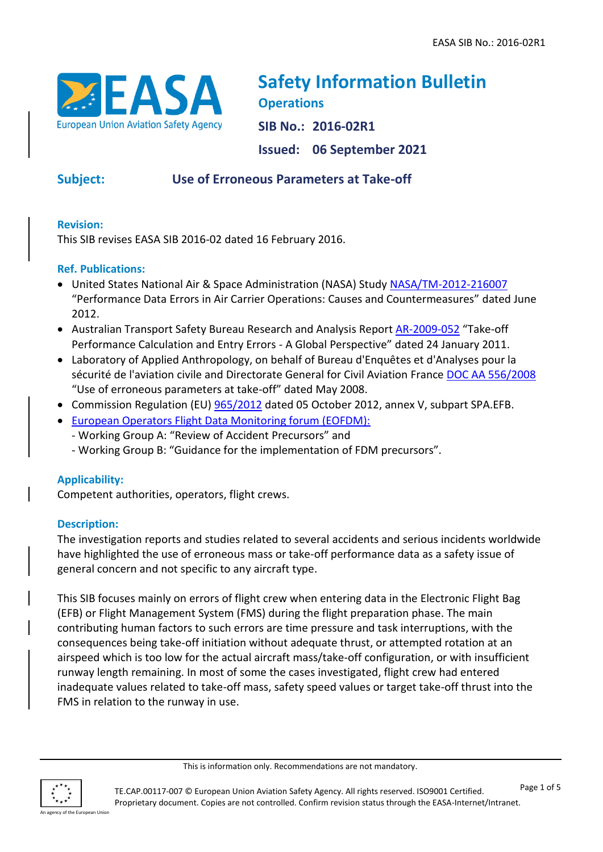

# **Safety Information Bulletin Operations SIB No.: 2016-02R1 Issued: 06 September 2021**

# **Subject: Use of Erroneous Parameters at Take-off**

### **Revision:**

This SIB revises EASA SIB 2016-02 dated 16 February 2016.

#### **Ref. Publications:**

- United States National Air & Space Administration (NASA) Study [NASA/TM-2012-216007](http://human-factors.arc.nasa.gov/publications/NASA_TM2012-216007.pdf) "Performance Data Errors in Air Carrier Operations: Causes and Countermeasures" dated June 2012.
- Australian Transport Safety Bureau Research and Analysis Report [AR-2009-052](https://www.atsb.gov.au/publications/2009/ar2009052.aspx) "Take-off Performance Calculation and Entry Errors - A Global Perspective" dated 24 January 2011.
- Laboratory of Applied Anthropology, on behalf of Bureau d'Enquêtes et d'Analyses pour la sécurité de l'aviation civile and Directorate General for Civil Aviation France [DOC AA 556/2008](http://www.bea.aero/etudes/use.of.erroneous.parameters.at.takeoff/use.of.erroneous.parameters.at.takeoff.pdf) "Use of erroneous parameters at take-off" dated May 2008.
- Commission Regulation (EU) [965/2012](https://eur-lex.europa.eu/LexUriServ/LexUriServ.do?uri=OJ:L:2012:296:0001:0148:EN:PDF) dated 05 October 2012, annex V, subpart SPA.EFB.
- [European Operators Flight Data Monitoring forum \(EOFDM\):](https://www.easa.europa.eu/domains/safety-management/safety-promotion/european-operators-flight-data-monitoring-eofdm-forum)
	- Working Group A: "Review of Accident Precursors" and
	- Working Group B: "Guidance for the implementation of FDM precursors".

### **Applicability:**

Competent authorities, operators, flight crews.

#### **Description:**

The investigation reports and studies related to several accidents and serious incidents worldwide have highlighted the use of erroneous mass or take-off performance data as a safety issue of general concern and not specific to any aircraft type.

This SIB focuses mainly on errors of flight crew when entering data in the Electronic Flight Bag (EFB) or Flight Management System (FMS) during the flight preparation phase. The main contributing human factors to such errors are time pressure and task interruptions, with the consequences being take-off initiation without adequate thrust, or attempted rotation at an airspeed which is too low for the actual aircraft mass/take-off configuration, or with insufficient runway length remaining. In most of some the cases investigated, flight crew had entered inadequate values related to take-off mass, safety speed values or target take-off thrust into the FMS in relation to the runway in use.

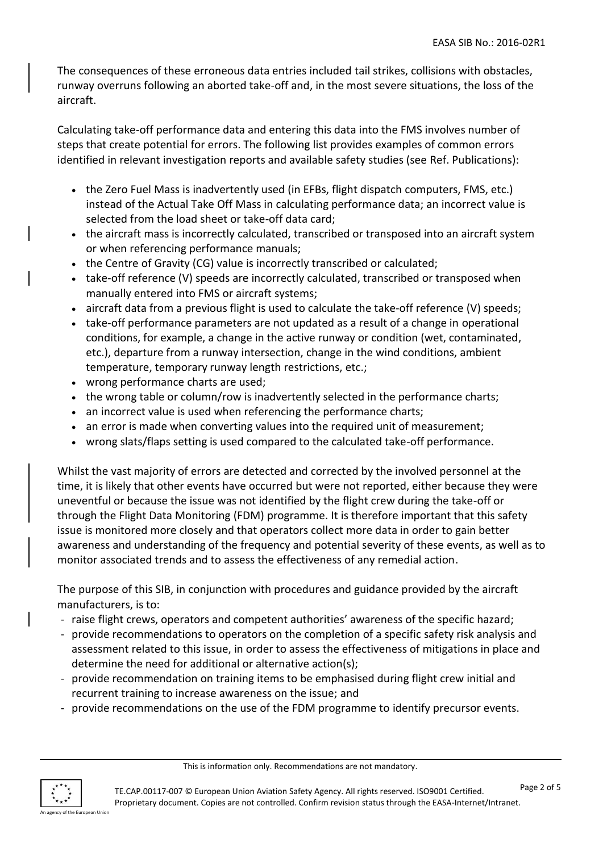The consequences of these erroneous data entries included tail strikes, collisions with obstacles, runway overruns following an aborted take-off and, in the most severe situations, the loss of the aircraft.

Calculating take-off performance data and entering this data into the FMS involves number of steps that create potential for errors. The following list provides examples of common errors identified in relevant investigation reports and available safety studies (see Ref. Publications):

- the Zero Fuel Mass is inadvertently used (in EFBs, flight dispatch computers, FMS, etc.) instead of the Actual Take Off Mass in calculating performance data; an incorrect value is selected from the load sheet or take-off data card;
- the aircraft mass is incorrectly calculated, transcribed or transposed into an aircraft system or when referencing performance manuals;
- the Centre of Gravity (CG) value is incorrectly transcribed or calculated;
- take-off reference (V) speeds are incorrectly calculated, transcribed or transposed when manually entered into FMS or aircraft systems;
- aircraft data from a previous flight is used to calculate the take-off reference (V) speeds;
- take-off performance parameters are not updated as a result of a change in operational conditions, for example, a change in the active runway or condition (wet, contaminated, etc.), departure from a runway intersection, change in the wind conditions, ambient temperature, temporary runway length restrictions, etc.;
- wrong performance charts are used;
- the wrong table or column/row is inadvertently selected in the performance charts;
- an incorrect value is used when referencing the performance charts;
- an error is made when converting values into the required unit of measurement;
- wrong slats/flaps setting is used compared to the calculated take-off performance.

Whilst the vast majority of errors are detected and corrected by the involved personnel at the time, it is likely that other events have occurred but were not reported, either because they were uneventful or because the issue was not identified by the flight crew during the take-off or through the Flight Data Monitoring (FDM) programme. It is therefore important that this safety issue is monitored more closely and that operators collect more data in order to gain better awareness and understanding of the frequency and potential severity of these events, as well as to monitor associated trends and to assess the effectiveness of any remedial action.

The purpose of this SIB, in conjunction with procedures and guidance provided by the aircraft manufacturers, is to:

- raise flight crews, operators and competent authorities' awareness of the specific hazard;
- provide recommendations to operators on the completion of a specific safety risk analysis and assessment related to this issue, in order to assess the effectiveness of mitigations in place and determine the need for additional or alternative action(s);
- provide recommendation on training items to be emphasised during flight crew initial and recurrent training to increase awareness on the issue; and
- provide recommendations on the use of the FDM programme to identify precursor events.

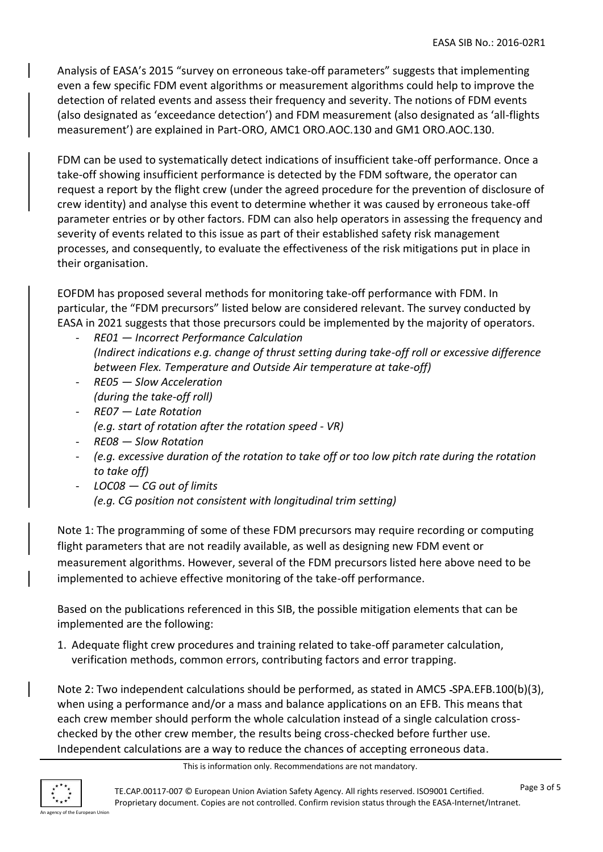Analysis of EASA's 2015 "survey on erroneous take-off parameters" suggests that implementing even a few specific FDM event algorithms or measurement algorithms could help to improve the detection of related events and assess their frequency and severity. The notions of FDM events (also designated as 'exceedance detection') and FDM measurement (also designated as 'all-flights measurement') are explained in Part-ORO, AMC1 ORO.AOC.130 and GM1 ORO.AOC.130.

FDM can be used to systematically detect indications of insufficient take-off performance. Once a take-off showing insufficient performance is detected by the FDM software, the operator can request a report by the flight crew (under the agreed procedure for the prevention of disclosure of crew identity) and analyse this event to determine whether it was caused by erroneous take-off parameter entries or by other factors. FDM can also help operators in assessing the frequency and severity of events related to this issue as part of their established safety risk management processes, and consequently, to evaluate the effectiveness of the risk mitigations put in place in their organisation.

EOFDM has proposed several methods for monitoring take-off performance with FDM. In particular, the "FDM precursors" listed below are considered relevant. The survey conducted by EASA in 2021 suggests that those precursors could be implemented by the majority of operators.

- *RE01 — Incorrect Performance Calculation (Indirect indications e.g. change of thrust setting during take-off roll or excessive difference between Flex. Temperature and Outside Air temperature at take-off)*
- *RE05 — Slow Acceleration (during the take-off roll)*
- *RE07 — Late Rotation (e.g. start of rotation after the rotation speed - VR)*
- *RE08 — Slow Rotation*
- *(e.g. excessive duration of the rotation to take off or too low pitch rate during the rotation to take off)*
- *LOC08 — CG out of limits (e.g. CG position not consistent with longitudinal trim setting)*

Note 1: The programming of some of these FDM precursors may require recording or computing flight parameters that are not readily available, as well as designing new FDM event or measurement algorithms. However, several of the FDM precursors listed here above need to be implemented to achieve effective monitoring of the take-off performance.

Based on the publications referenced in this SIB, the possible mitigation elements that can be implemented are the following:

1. Adequate flight crew procedures and training related to take-off parameter calculation, verification methods, common errors, contributing factors and error trapping.

Note 2: Two independent calculations should be performed, as stated in AMC5 -SPA.EFB.100(b)(3), when using a performance and/or a mass and balance applications on an EFB. This means that each crew member should perform the whole calculation instead of a single calculation crosschecked by the other crew member, the results being cross-checked before further use. Independent calculations are a way to reduce the chances of accepting erroneous data.

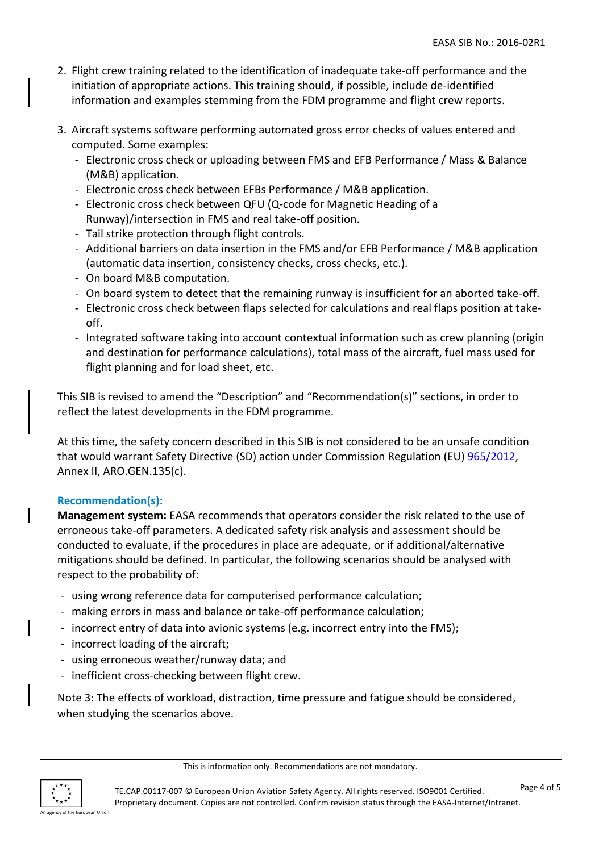- 2. Flight crew training related to the identification of inadequate take-off performance and the initiation of appropriate actions. This training should, if possible, include de-identified information and examples stemming from the FDM programme and flight crew reports.
- 3. Aircraft systems software performing automated gross error checks of values entered and computed. Some examples:
	- Electronic cross check or uploading between FMS and EFB Performance / Mass & Balance (M&B) application.
	- Electronic cross check between EFBs Performance / M&B application.
	- Electronic cross check between QFU (Q-code for Magnetic Heading of a Runway)/intersection in FMS and real take-off position.
	- Tail strike protection through flight controls.
	- Additional barriers on data insertion in the FMS and/or EFB Performance / M&B application (automatic data insertion, consistency checks, cross checks, etc.).
	- On board M&B computation.
	- On board system to detect that the remaining runway is insufficient for an aborted take-off.
	- Electronic cross check between flaps selected for calculations and real flaps position at takeoff.
	- Integrated software taking into account contextual information such as crew planning (origin and destination for performance calculations), total mass of the aircraft, fuel mass used for flight planning and for load sheet, etc.

This SIB is revised to amend the "Description" and "Recommendation(s)" sections, in order to reflect the latest developments in the FDM programme.

At this time, the safety concern described in this SIB is not considered to be an unsafe condition that would warrant Safety Directive (SD) action under Commission Regulation (EU) [965/2012,](https://eur-lex.europa.eu/LexUriServ/LexUriServ.do?uri=OJ:L:2012:296:0001:0148:EN:PDF) Annex II, ARO.GEN.135(c).

### **Recommendation(s):**

**Management system:** EASA recommends that operators consider the risk related to the use of erroneous take-off parameters. A dedicated safety risk analysis and assessment should be conducted to evaluate, if the procedures in place are adequate, or if additional/alternative mitigations should be defined. In particular, the following scenarios should be analysed with respect to the probability of:

- using wrong reference data for computerised performance calculation;
- making errors in mass and balance or take-off performance calculation;
- incorrect entry of data into avionic systems (e.g. incorrect entry into the FMS);
- incorrect loading of the aircraft;
- using erroneous weather/runway data; and
- inefficient cross-checking between flight crew.

Note 3: The effects of workload, distraction, time pressure and fatigue should be considered, when studying the scenarios above.